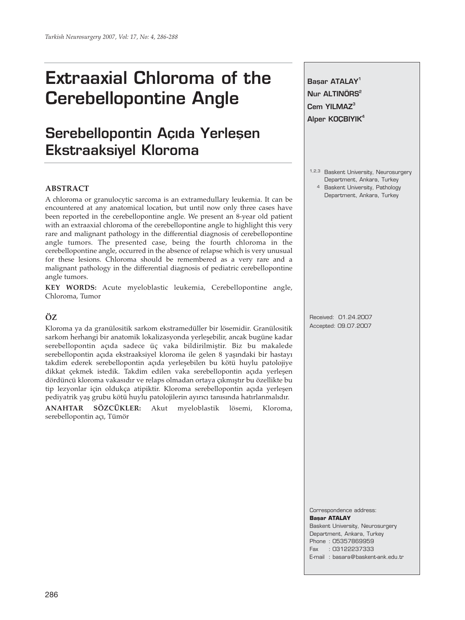# **Extraaxial Chloroma of the Cerebellopontine Angle**

# **Serebellopontin Açıda Yerleşen Ekstraaksiyel Kloroma**

#### **ABSTRACT**

A chloroma or granulocytic sarcoma is an extramedullary leukemia. It can be encountered at any anatomical location, but until now only three cases have been reported in the cerebellopontine angle. We present an 8-year old patient with an extraaxial chloroma of the cerebellopontine angle to highlight this very rare and malignant pathology in the differential diagnosis of cerebellopontine angle tumors. The presented case, being the fourth chloroma in the cerebellopontine angle, occurred in the absence of relapse which is very unusual for these lesions. Chloroma should be remembered as a very rare and a malignant pathology in the differential diagnosis of pediatric cerebellopontine angle tumors.

**KEY WORDS:** Acute myeloblastic leukemia, Cerebellopontine angle, Chloroma, Tumor

## **ÖZ**

Kloroma ya da granülositik sarkom ekstramedüller bir lösemidir. Granülositik sarkom herhangi bir anatomik lokalizasyonda yerleşebilir, ancak bugüne kadar serebellopontin açıda sadece üç vaka bildirilmiştir. Biz bu makalede serebellopontin açıda ekstraaksiyel kloroma ile gelen 8 yaşındaki bir hastayı takdim ederek serebellopontin açıda yerleşebilen bu kötü huylu patolojiye dikkat çekmek istedik. Takdim edilen vaka serebellopontin açıda yerleşen dördüncü kloroma vakasıdır ve relaps olmadan ortaya çıkmıştır bu özellikte bu tip lezyonlar için oldukça atipiktir. Kloroma serebellopontin açıda yerleşen pediyatrik yaş grubu kötü huylu patolojilerin ayırıcı tanısında hatırlanmalıdır.

**ANAHTAR SÖZCÜKLER:** Akut myeloblastik lösemi, Kloroma, serebellopontin açı, Tümör

Basar ATALAY<sup>1</sup> **Nur ALTINÖRS<sup>2</sup> Cem YILMAZ3 Alper KOÇBIYIK4**

- 1,2,3 Baskent University, Neurosurgery Department, Ankara, Turkey
	- 4 Baskent University, Pathology Department, Ankara, Turkey

Received: 01.24.2007 Accepted: 09.07.2007

Correspondence address: **Başar ATALAY** 

Baskent University, Neurosurgery Department, Ankara, Turkey Phone : 05357869959 Fax : 03122237333 E-mail : basara@baskent-ank.edu.tr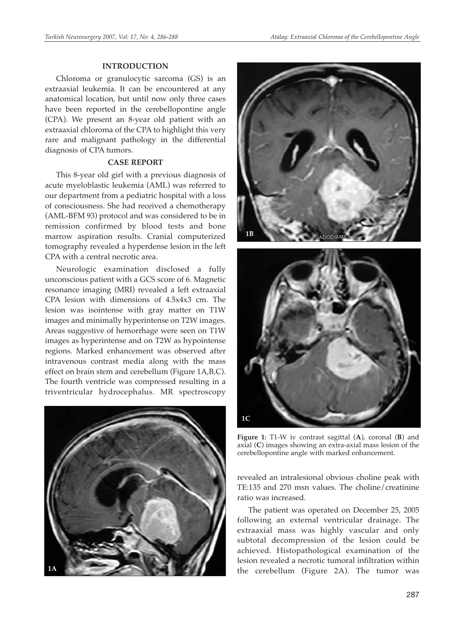#### **INTRODUCTION**

Chloroma or granulocytic sarcoma (GS) is an extraaxial leukemia. It can be encountered at any anatomical location, but until now only three cases have been reported in the cerebellopontine angle (CPA). We present an 8-year old patient with an extraaxial chloroma of the CPA to highlight this very rare and malignant pathology in the differential diagnosis of CPA tumors.

#### **CASE REPORT**

This 8-year old girl with a previous diagnosis of acute myeloblastic leukemia (AML) was referred to our department from a pediatric hospital with a loss of consciousness. She had received a chemotherapy (AML-BFM 93) protocol and was considered to be in remission confirmed by blood tests and bone marrow aspiration results. Cranial computerized tomography revealed a hyperdense lesion in the left CPA with a central necrotic area.

Neurologic examination disclosed a fully unconscious patient with a GCS score of 6. Magnetic resonance imaging (MRI) revealed a left extraaxial CPA lesion with dimensions of 4.5x4x3 cm. The lesion was isointense with gray matter on T1W images and minimally hyperintense on T2W images. Areas suggestive of hemorrhage were seen on T1W images as hyperintense and on T2W as hypointense regions. Marked enhancement was observed after intravenous contrast media along with the mass effect on brain stem and cerebellum (Figure 1A,B,C). The fourth ventricle was compressed resulting in a triventricular hydrocephalus. MR spectroscopy







**Figure 1:** T1-W iv contrast sagittal (**A**), coronal (**B**) and axial (**C**) images showing an extra-axial mass lesion of the cerebellopontine angle with marked enhancement.

revealed an intralesional obvious choline peak with TE:135 and 270 msn values. The choline/creatinine ratio was increased.

The patient was operated on December 25, 2005 following an external ventricular drainage. The extraaxial mass was highly vascular and only subtotal decompression of the lesion could be achieved. Histopathological examination of the lesion revealed a necrotic tumoral infiltration within the cerebellum (Figure 2A). The tumor was